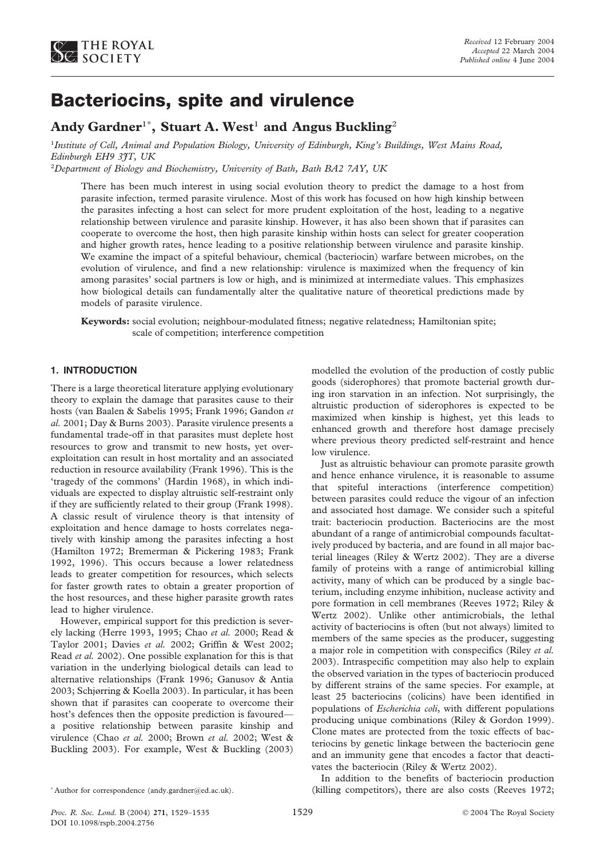

# **Bacteriocins, spite and virulence**

# **Andy Gardner**<sup>1</sup>\* **, Stuart A. West**<sup>1</sup> **and Angus Buckling**<sup>2</sup>

1 *Institute of Cell, Animal and Population Biology, University of Edinburgh, King's Buildings, West Mains Road, Edinburgh EH9 3JT, UK*

2 *Department of Biology and Biochemistry, University of Bath, Bath BA2 7AY, UK*

There has been much interest in using social evolution theory to predict the damage to a host from parasite infection, termed parasite virulence. Most of this work has focused on how high kinship between the parasites infecting a host can select for more prudent exploitation of the host, leading to a negative relationship between virulence and parasite kinship. However, it has also been shown that if parasites can cooperate to overcome the host, then high parasite kinship within hosts can select for greater cooperation and higher growth rates, hence leading to a positive relationship between virulence and parasite kinship. We examine the impact of a spiteful behaviour, chemical (bacteriocin) warfare between microbes, on the evolution of virulence, and find a new relationship: virulence is maximized when the frequency of kin among parasites' social partners is low or high, and is minimized at intermediate values. This emphasizes how biological details can fundamentally alter the qualitative nature of theoretical predictions made by models of parasite virulence.

**Keywords:** social evolution; neighbour-modulated fitness; negative relatedness; Hamiltonian spite; scale of competition; interference competition

# **1. INTRODUCTION**

There is a large theoretical literature applying evolutionary theory to explain the damage that parasites cause to their hosts (van Baalen & Sabelis 1995; Frank 1996; Gandon *et al.* 2001; Day & Burns 2003). Parasite virulence presents a fundamental trade-off in that parasites must deplete host resources to grow and transmit to new hosts, yet overexploitation can result in host mortality and an associated reduction in resource availability (Frank 1996). This is the 'tragedy of the commons' (Hardin 1968), in which individuals are expected to display altruistic self-restraint only if they are sufficiently related to their group (Frank 1998). A classic result of virulence theory is that intensity of exploitation and hence damage to hosts correlates negatively with kinship among the parasites infecting a host (Hamilton 1972; Bremerman & Pickering 1983; Frank 1992, 1996). This occurs because a lower relatedness leads to greater competition for resources, which selects for faster growth rates to obtain a greater proportion of the host resources, and these higher parasite growth rates lead to higher virulence.

However, empirical support for this prediction is severely lacking (Herre 1993, 1995; Chao *et al.* 2000; Read & Taylor 2001; Davies *et al.* 2002; Griffin & West 2002; Read *et al.* 2002). One possible explanation for this is that variation in the underlying biological details can lead to alternative relationships (Frank 1996; Ganusov & Antia 2003; Schjørring & Koella 2003). In particular, it has been shown that if parasites can cooperate to overcome their host's defences then the opposite prediction is favoured a positive relationship between parasite kinship and virulence (Chao *et al.* 2000; Brown *et al.* 2002; West & Buckling 2003). For example, West & Buckling (2003)

modelled the evolution of the production of costly public goods (siderophores) that promote bacterial growth during iron starvation in an infection. Not surprisingly, the altruistic production of siderophores is expected to be maximized when kinship is highest, yet this leads to enhanced growth and therefore host damage precisely where previous theory predicted self-restraint and hence low virulence.

Just as altruistic behaviour can promote parasite growth and hence enhance virulence, it is reasonable to assume that spiteful interactions (interference competition) between parasites could reduce the vigour of an infection and associated host damage. We consider such a spiteful trait: bacteriocin production. Bacteriocins are the most abundant of a range of antimicrobial compounds facultatively produced by bacteria, and are found in all major bacterial lineages (Riley & Wertz 2002). They are a diverse family of proteins with a range of antimicrobial killing activity, many of which can be produced by a single bacterium, including enzyme inhibition, nuclease activity and pore formation in cell membranes (Reeves 1972; Riley & Wertz 2002). Unlike other antimicrobials, the lethal activity of bacteriocins is often (but not always) limited to members of the same species as the producer, suggesting a major role in competition with conspecifics (Riley *et al.* 2003). Intraspecific competition may also help to explain the observed variation in the types of bacteriocin produced by different strains of the same species. For example, at least 25 bacteriocins (colicins) have been identified in populations of *Escherichia coli*, with different populations producing unique combinations (Riley & Gordon 1999). Clone mates are protected from the toxic effects of bacteriocins by genetic linkage between the bacteriocin gene and an immunity gene that encodes a factor that deactivates the bacteriocin (Riley & Wertz 2002).

In addition to the benefits of bacteriocin production (killing competitors), there are also costs (Reeves 1972;

<sup>\*</sup> Author for correspondence (andy.gardner@ed.ac.uk).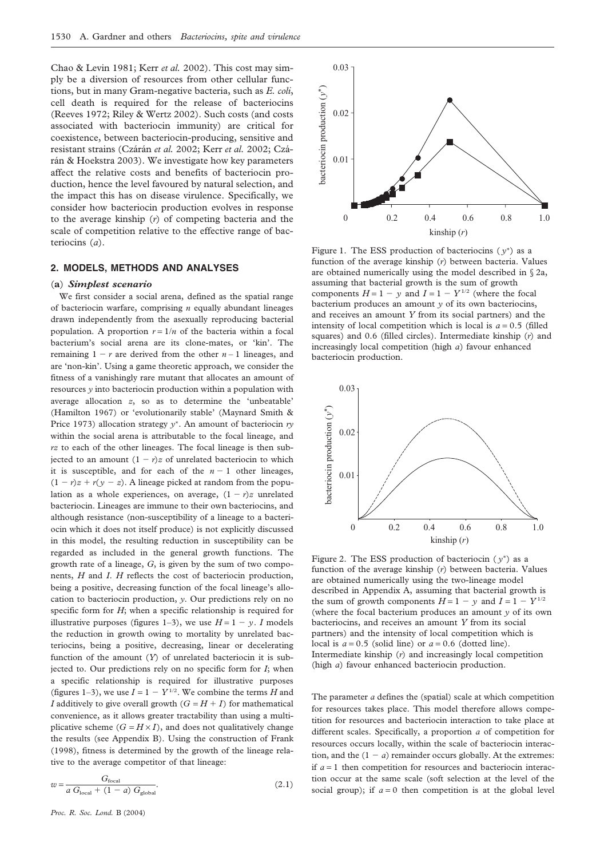Chao & Levin 1981; Kerr *et al.* 2002). This cost may simply be a diversion of resources from other cellular functions, but in many Gram-negative bacteria, such as *E. coli*, cell death is required for the release of bacteriocins (Reeves 1972; Riley & Wertz 2002). Such costs (and costs associated with bacteriocin immunity) are critical for coexistence, between bacteriocin-producing, sensitive and resistant strains (Czárán et al. 2002; Kerr et al. 2002; Czárán & Hoekstra 2003). We investigate how key parameters affect the relative costs and benefits of bacteriocin production, hence the level favoured by natural selection, and the impact this has on disease virulence. Specifically, we consider how bacteriocin production evolves in response to the average kinship (*r*) of competing bacteria and the scale of competition relative to the effective range of bacteriocins (*a*).

# **2. MODELS, METHODS AND ANALYSES**

#### (**a**) *Simplest scenario*

We first consider a social arena, defined as the spatial range of bacteriocin warfare, comprising *n* equally abundant lineages drawn independently from the asexually reproducing bacterial population. A proportion  $r = 1/n$  of the bacteria within a focal bacterium's social arena are its clone-mates, or 'kin'. The remaining  $1 - r$  are derived from the other  $n - 1$  lineages, and are 'non-kin'. Using a game theoretic approach, we consider the fitness of a vanishingly rare mutant that allocates an amount of resources *y* into bacteriocin production within a population with average allocation *z*, so as to determine the 'unbeatable' (Hamilton 1967) or 'evolutionarily stable' (Maynard Smith & Price 1973) allocation strategy *y*∗. An amount of bacteriocin *ry* within the social arena is attributable to the focal lineage, and *rz* to each of the other lineages. The focal lineage is then subjected to an amount  $(1 - r)z$  of unrelated bacteriocin to which it is susceptible, and for each of the  $n - 1$  other lineages,  $(1 - r)z + r(y - z)$ . A lineage picked at random from the population as a whole experiences, on average,  $(1 - r)x$  unrelated bacteriocin. Lineages are immune to their own bacteriocins, and although resistance (non-susceptibility of a lineage to a bacteriocin which it does not itself produce) is not explicitly discussed in this model, the resulting reduction in susceptibility can be regarded as included in the general growth functions. The growth rate of a lineage, *G*, is given by the sum of two components, *H* and *I*. *H* reflects the cost of bacteriocin production, being a positive, decreasing function of the focal lineage's allocation to bacteriocin production, *y*. Our predictions rely on no specific form for *H*; when a specific relationship is required for illustrative purposes (figures 1–3), we use  $H = 1 - y$ . *I* models the reduction in growth owing to mortality by unrelated bacteriocins, being a positive, decreasing, linear or decelerating function of the amount (*Y*) of unrelated bacteriocin it is subjected to. Our predictions rely on no specific form for *I*; when a specific relationship is required for illustrative purposes (figures 1–3), we use  $I = 1 - Y^{1/2}$ . We combine the terms *H* and *I* additively to give overall growth  $(G = H + I)$  for mathematical convenience, as it allows greater tractability than using a multiplicative scheme  $(G = H \times I)$ , and does not qualitatively change the results (see Appendix B). Using the construction of Frank (1998), fitness is determined by the growth of the lineage relative to the average competitor of that lineage:

$$
w = \frac{G_{\text{focal}}}{a G_{\text{local}} + (1 - a) G_{\text{global}}}.
$$
\n(2.1)



Figure 1. The ESS production of bacteriocins  $(y^*)$  as a function of the average kinship (*r*) between bacteria. Values are obtained numerically using the model described in § 2a, assuming that bacterial growth is the sum of growth components  $H = 1 - y$  and  $I = 1 - Y^{1/2}$  (where the focal bacterium produces an amount *y* of its own bacteriocins, and receives an amount *Y* from its social partners) and the intensity of local competition which is local is  $a = 0.5$  (filled squares) and 0.6 (filled circles). Intermediate kinship (*r*) and increasingly local competition (high *a*) favour enhanced bacteriocin production.



Figure 2. The ESS production of bacteriocin  $(y^*)$  as a function of the average kinship (*r*) between bacteria. Values are obtained numerically using the two-lineage model described in Appendix A, assuming that bacterial growth is the sum of growth components  $H = 1 - y$  and  $I = 1 - Y^{1/2}$ (where the focal bacterium produces an amount *y* of its own bacteriocins, and receives an amount *Y* from its social partners) and the intensity of local competition which is local is  $a = 0.5$  (solid line) or  $a = 0.6$  (dotted line). Intermediate kinship (*r*) and increasingly local competition (high *a*) favour enhanced bacteriocin production.

The parameter *a* defines the (spatial) scale at which competition for resources takes place. This model therefore allows competition for resources and bacteriocin interaction to take place at different scales. Specifically, a proportion *a* of competition for resources occurs locally, within the scale of bacteriocin interaction, and the  $(1 - a)$  remainder occurs globally. At the extremes: if  $a = 1$  then competition for resources and bacteriocin interaction occur at the same scale (soft selection at the level of the social group); if  $a = 0$  then competition is at the global level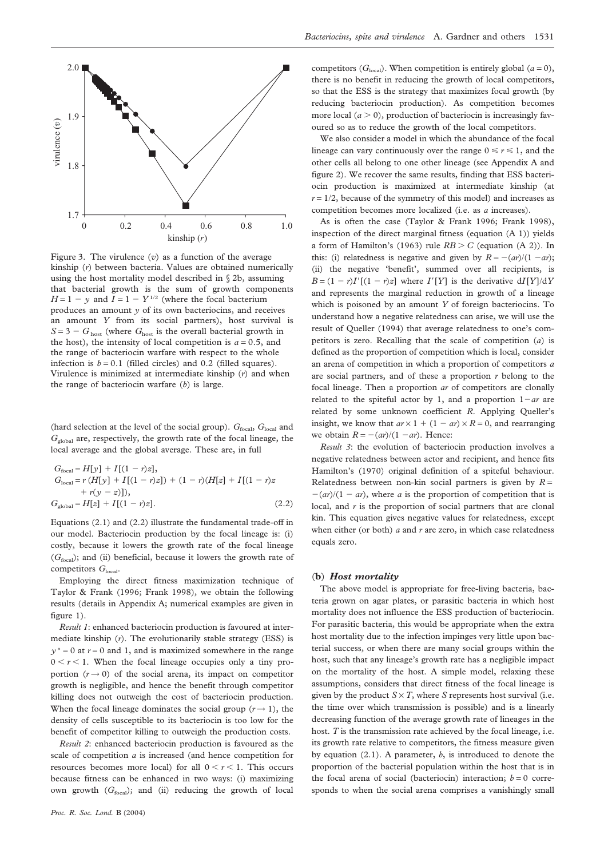

Figure 3. The virulence (*v*) as a function of the average kinship (*r*) between bacteria. Values are obtained numerically using the host mortality model described in § 2b, assuming that bacterial growth is the sum of growth components  $H = 1 - y$  and  $\overline{I} = 1 - Y^{1/2}$  (where the focal bacterium produces an amount *y* of its own bacteriocins, and receives an amount *Y* from its social partners), host survival is  $S = 3 - G<sub>host</sub>$  (where  $G<sub>host</sub>$  is the overall bacterial growth in the host), the intensity of local competition is  $a = 0.5$ , and the range of bacteriocin warfare with respect to the whole infection is  $b = 0.1$  (filled circles) and 0.2 (filled squares). Virulence is minimized at intermediate kinship (*r*) and when the range of bacteriocin warfare (*b*) is large.

(hard selection at the level of the social group).  $G_{\text{focal}}$ ,  $G_{\text{local}}$  and *G*global are, respectively, the growth rate of the focal lineage, the local average and the global average. These are, in full

$$
G_{\text{focal}} = H[y] + I[(1 - r)z],
$$
  
\n
$$
G_{\text{local}} = r (H[y] + I[(1 - r)z]) + (1 - r)(H[z] + I[(1 - r)z + r(y - z)]),
$$
  
\n
$$
G_{\text{global}} = H[z] + I[(1 - r)z].
$$
\n(2.2)

Equations (2.1) and (2.2) illustrate the fundamental trade-off in our model. Bacteriocin production by the focal lineage is: (i) costly, because it lowers the growth rate of the focal lineage (*G*focal); and (ii) beneficial, because it lowers the growth rate of competitors  $G<sub>local</sub>$ .

Employing the direct fitness maximization technique of Taylor & Frank (1996; Frank 1998), we obtain the following results (details in Appendix A; numerical examples are given in figure 1).

*Result 1*: enhanced bacteriocin production is favoured at intermediate kinship (*r*). The evolutionarily stable strategy (ESS) is  $y^* = 0$  at  $r = 0$  and 1, and is maximized somewhere in the range  $0 < r < 1$ . When the focal lineage occupies only a tiny proportion  $(r \rightarrow 0)$  of the social arena, its impact on competitor growth is negligible, and hence the benefit through competitor killing does not outweigh the cost of bacteriocin production. When the focal lineage dominates the social group  $(r \rightarrow 1)$ , the density of cells susceptible to its bacteriocin is too low for the benefit of competitor killing to outweigh the production costs.

*Result 2*: enhanced bacteriocin production is favoured as the scale of competition *a* is increased (and hence competition for resources becomes more local) for all  $0 < r < 1$ . This occurs because fitness can be enhanced in two ways: (i) maximizing own growth  $(G<sub>focal</sub>)$ ; and (ii) reducing the growth of local competitors ( $G<sub>local</sub>$ ). When competition is entirely global ( $a = 0$ ), there is no benefit in reducing the growth of local competitors, so that the ESS is the strategy that maximizes focal growth (by reducing bacteriocin production). As competition becomes more local  $(a > 0)$ , production of bacteriocin is increasingly favoured so as to reduce the growth of the local competitors.

We also consider a model in which the abundance of the focal lineage can vary continuously over the range  $0 \le r \le 1$ , and the other cells all belong to one other lineage (see Appendix A and figure 2). We recover the same results, finding that ESS bacteriocin production is maximized at intermediate kinship (at  $r = 1/2$ , because of the symmetry of this model) and increases as competition becomes more localized (i.e. as *a* increases).

As is often the case (Taylor & Frank 1996; Frank 1998), inspection of the direct marginal fitness (equation (A 1)) yields a form of Hamilton's (1963) rule  $RB > C$  (equation  $(A 2)$ ). In this: (i) relatedness is negative and given by  $R = -(ar)/(1-ar)$ ; (ii) the negative 'benefit', summed over all recipients, is  $B = (1 - r)I'[(1 - r)z]$  where  $I'[Y]$  is the derivative  $dI[Y]/dY$ and represents the marginal reduction in growth of a lineage which is poisoned by an amount *Y* of foreign bacteriocins. To understand how a negative relatedness can arise, we will use the result of Queller (1994) that average relatedness to one's competitors is zero. Recalling that the scale of competition (*a*) is defined as the proportion of competition which is local, consider an arena of competition in which a proportion of competitors *a* are social partners, and of these a proportion *r* belong to the focal lineage. Then a proportion *ar* of competitors are clonally related to the spiteful actor by 1, and a proportion  $1 - ar$  are related by some unknown coefficient *R*. Applying Queller's insight, we know that  $ar \times 1 + (1 - ar) \times R = 0$ , and rearranging we obtain  $R = -(ar)/(1 - ar)$ . Hence:

*Result 3*: the evolution of bacteriocin production involves a negative relatedness between actor and recipient, and hence fits Hamilton's (1970) original definition of a spiteful behaviour. Relatedness between non-kin social partners is given by  $R =$  $-(ar)/(1-ar)$ , where *a* is the proportion of competition that is local, and *r* is the proportion of social partners that are clonal kin. This equation gives negative values for relatedness, except when either (or both) *a* and *r* are zero, in which case relatedness equals zero.

## (**b**) *Host mortality*

The above model is appropriate for free-living bacteria, bacteria grown on agar plates, or parasitic bacteria in which host mortality does not influence the ESS production of bacteriocin. For parasitic bacteria, this would be appropriate when the extra host mortality due to the infection impinges very little upon bacterial success, or when there are many social groups within the host, such that any lineage's growth rate has a negligible impact on the mortality of the host. A simple model, relaxing these assumptions, considers that direct fitness of the focal lineage is given by the product  $S \times T$ , where *S* represents host survival (i.e. the time over which transmission is possible) and is a linearly decreasing function of the average growth rate of lineages in the host. *T* is the transmission rate achieved by the focal lineage, i.e. its growth rate relative to competitors, the fitness measure given by equation (2.1). A parameter, *b*, is introduced to denote the proportion of the bacterial population within the host that is in the focal arena of social (bacteriocin) interaction;  $b = 0$  corresponds to when the social arena comprises a vanishingly small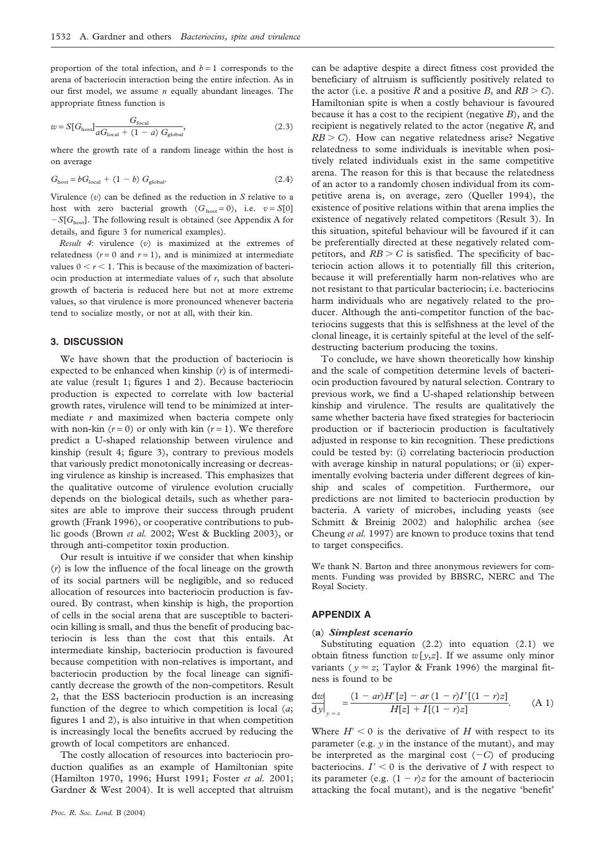proportion of the total infection, and  $b = 1$  corresponds to the arena of bacteriocin interaction being the entire infection. As in our first model, we assume *n* equally abundant lineages. The appropriate fitness function is

$$
w = S[Ghost] \frac{Gfocal}{aGlocal + (1 - a) Gglobal},
$$
\n(2.3)

where the growth rate of a random lineage within the host is on average

$$
G_{\text{host}} = bG_{\text{local}} + (1 - b) G_{\text{global}}.
$$
\n(2.4)

Virulence (*v*) can be defined as the reduction in *S* relative to a host with zero bacterial growth  $(G<sub>host</sub> = 0)$ , i.e.  $v = S[0]$  $-S[G<sub>host</sub>]$ . The following result is obtained (see Appendix A for details, and figure 3 for numerical examples).

*Result 4*: virulence (*v*) is maximized at the extremes of relatedness  $(r = 0$  and  $r = 1)$ , and is minimized at intermediate values  $0 < r < 1$ . This is because of the maximization of bacteriocin production at intermediate values of *r*, such that absolute growth of bacteria is reduced here but not at more extreme values, so that virulence is more pronounced whenever bacteria tend to socialize mostly, or not at all, with their kin.

# **3. DISCUSSION**

We have shown that the production of bacteriocin is expected to be enhanced when kinship (*r*) is of intermediate value (result 1; figures 1 and 2). Because bacteriocin production is expected to correlate with low bacterial growth rates, virulence will tend to be minimized at intermediate *r* and maximized when bacteria compete only with non-kin  $(r = 0)$  or only with kin  $(r = 1)$ . We therefore predict a U-shaped relationship between virulence and kinship (result 4; figure 3), contrary to previous models that variously predict monotonically increasing or decreasing virulence as kinship is increased. This emphasizes that the qualitative outcome of virulence evolution crucially depends on the biological details, such as whether parasites are able to improve their success through prudent growth (Frank 1996), or cooperative contributions to public goods (Brown *et al.* 2002; West & Buckling 2003), or through anti-competitor toxin production.

Our result is intuitive if we consider that when kinship (*r*) is low the influence of the focal lineage on the growth of its social partners will be negligible, and so reduced allocation of resources into bacteriocin production is favoured. By contrast, when kinship is high, the proportion of cells in the social arena that are susceptible to bacteriocin killing is small, and thus the benefit of producing bacteriocin is less than the cost that this entails. At intermediate kinship, bacteriocin production is favoured because competition with non-relatives is important, and bacteriocin production by the focal lineage can significantly decrease the growth of the non-competitors. Result 2, that the ESS bacteriocin production is an increasing function of the degree to which competition is local (*a*; figures 1 and 2), is also intuitive in that when competition is increasingly local the benefits accrued by reducing the growth of local competitors are enhanced.

The costly allocation of resources into bacteriocin production qualifies as an example of Hamiltonian spite (Hamilton 1970, 1996; Hurst 1991; Foster *et al.* 2001; Gardner & West 2004). It is well accepted that altruism

can be adaptive despite a direct fitness cost provided the beneficiary of altruism is sufficiently positively related to the actor (i.e. a positive *R* and a positive *B*, and  $RB > C$ ). Hamiltonian spite is when a costly behaviour is favoured because it has a cost to the recipient (negative *B*), and the recipient is negatively related to the actor (negative *R*, and  $RB > C$ ). How can negative relatedness arise? Negative relatedness to some individuals is inevitable when positively related individuals exist in the same competitive arena. The reason for this is that because the relatedness of an actor to a randomly chosen individual from its competitive arena is, on average, zero (Queller 1994), the existence of positive relations within that arena implies the existence of negatively related competitors (Result 3). In this situation, spiteful behaviour will be favoured if it can be preferentially directed at these negatively related competitors, and  $RB > C$  is satisfied. The specificity of bacteriocin action allows it to potentially fill this criterion, because it will preferentially harm non-relatives who are not resistant to that particular bacteriocin; i.e. bacteriocins harm individuals who are negatively related to the producer. Although the anti-competitor function of the bacteriocins suggests that this is selfishness at the level of the clonal lineage, it is certainly spiteful at the level of the selfdestructing bacterium producing the toxins.

To conclude, we have shown theoretically how kinship and the scale of competition determine levels of bacteriocin production favoured by natural selection. Contrary to previous work, we find a U-shaped relationship between kinship and virulence. The results are qualitatively the same whether bacteria have fixed strategies for bacteriocin production or if bacteriocin production is facultatively adjusted in response to kin recognition. These predictions could be tested by: (i) correlating bacteriocin production with average kinship in natural populations; or (ii) experimentally evolving bacteria under different degrees of kinship and scales of competition. Furthermore, our predictions are not limited to bacteriocin production by bacteria. A variety of microbes, including yeasts (see Schmitt & Breinig 2002) and halophilic archea (see Cheung *et al.* 1997) are known to produce toxins that tend to target conspecifics.

We thank N. Barton and three anonymous reviewers for comments. Funding was provided by BBSRC, NERC and The Royal Society.

#### **APPENDIX A**

# (**a**) *Simplest scenario*

Substituting equation (2.2) into equation (2.1) we obtain fitness function *w*[*y*,*z*]. If we assume only minor variants ( $y \approx z$ ; Taylor & Frank 1996) the marginal fitness is found to be

$$
\left. \frac{d w}{dy} \right|_{y=z} = \frac{(1-ar)H'[z] - ar(1-r)I'[(1-r)z]}{H[z] + I[(1-r)z]}.\tag{A 1}
$$

Where  $H' < 0$  is the derivative of  $H$  with respect to its parameter (e.g. *y* in the instance of the mutant), and may be interpreted as the marginal cost  $(-C)$  of producing bacteriocins.  $I' \leq 0$  is the derivative of *I* with respect to its parameter (e.g.  $(1 - r)z$  for the amount of bacteriocin attacking the focal mutant), and is the negative 'benefit'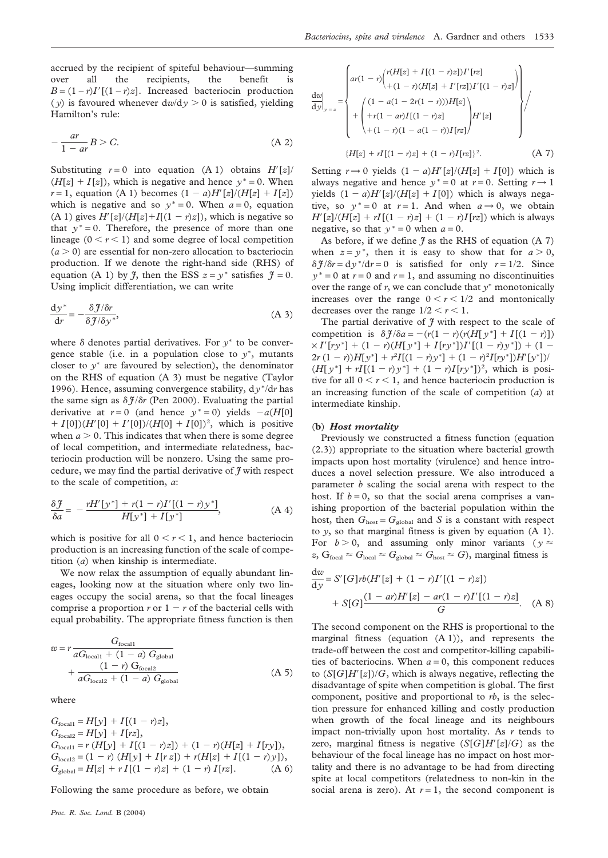accrued by the recipient of spiteful behaviour—summing over all the recipients, the benefit is  $B = (1 - r)I'[(1 - r)z]$ . Increased bacteriocin production (*y*) is favoured whenever  $dw/dy > 0$  is satisfied, yielding Hamilton's rule:

$$
-\frac{ar}{1-ar}B > C.\tag{A.2}
$$

Substituting  $r = 0$  into equation (A 1) obtains  $H'[z]$  $(H[z] + I[z])$ , which is negative and hence  $y^* = 0$ . When *r* = 1, equation (A 1) becomes  $(1 - a)H'[z]/(H[z] + I[z])$ which is negative and so  $y^* = 0$ . When  $a = 0$ , equation  $(A 1)$  gives  $H'[z]/(H[z]+I[(1 - r)z])$ , which is negative so that  $y^* = 0$ . Therefore, the presence of more than one lineage  $(0 < r < 1)$  and some degree of local competition  $(a > 0)$  are essential for non-zero allocation to bacteriocin production. If we denote the right-hand side (RHS) of equation (A 1) by  $\tilde{f}$ , then the ESS  $z = y^*$  satisfies  $\tilde{f} = 0$ . Using implicit differentiation, we can write

$$
\frac{dy^*}{dr} = -\frac{\delta \mathcal{J}/\delta r}{\delta \mathcal{J}/\delta y^*},\tag{A 3}
$$

where  $\delta$  denotes partial derivatives. For  $y^*$  to be convergence stable (i.e. in a population close to *y*∗, mutants closer to *y*<sup>∗</sup> are favoured by selection), the denominator on the RHS of equation (A 3) must be negative (Taylor 1996). Hence, assuming convergence stability, d*y* <sup>∗</sup>/d*r* has the same sign as  $\delta f/\delta r$  (Pen 2000). Evaluating the partial derivative at  $r = 0$  (and hence  $y^* = 0$ ) yields  $-a(H[0])$  $+ I[0]/(H'[0] + I'[0])/(H[0] + I[0])^2$ , which is positive when  $a > 0$ . This indicates that when there is some degree of local competition, and intermediate relatedness, bacteriocin production will be nonzero. Using the same procedure, we may find the partial derivative of *J* with respect to the scale of competition, *a*:

$$
\frac{\delta \mathcal{J}}{\delta a} = -\frac{rH'[y^*] + r(1-r)I'[(1-r)y^*]}{H[y^*] + I[y^*]},
$$
 (A 4)

which is positive for all  $0 < r < 1$ , and hence bacteriocin production is an increasing function of the scale of competition (*a*) when kinship is intermediate.

We now relax the assumption of equally abundant lineages, looking now at the situation where only two lineages occupy the social arena, so that the focal lineages comprise a proportion  $r$  or  $1 - r$  of the bacterial cells with equal probability. The appropriate fitness function is then

$$
w = r \frac{G_{\text{focal1}}}{aG_{\text{local1}} + (1 - a) G_{\text{global}}}
$$

$$
+ \frac{(1 - r) G_{\text{focal2}}}{aG_{\text{local2}} + (1 - a) G_{\text{global}}}
$$
(A 5)

where

$$
G_{\text{focal1}} = H[y] + I[(1 - r)z],
$$
  
\n
$$
G_{\text{focal2}} = H[y] + I[rz],
$$
  
\n
$$
G_{\text{local1}} = r(H[y] + I[(1 - r)z]) + (1 - r)(H[z] + I[ry]),
$$
  
\n
$$
G_{\text{local2}} = (1 - r) (H[y] + I[rz]) + r(H[z] + I[(1 - r)y]),
$$
  
\n
$$
G_{\text{global}} = H[z] + rI[(1 - r)z] + (1 - r)I[rz].
$$
 (A 6)

Following the same procedure as before, we obtain

$$
\frac{dw}{dy}\Big|_{y=z} = \begin{cases}\n ar(1-r)\binom{r(H[z] + I[(1-r)z]/r[z]}{+(1-r)(H[z] + I'[rz]/I'[1-r)z]} \\
+ \binom{(1-a(1-2r(1-r)))H[z]}{+r(1-ar)I[(1-r)z]} \\
+ \binom{(1-ar)I[(1-r)z]}{+(1-r)(1-a(1-r))I[rz]}\n \end{cases}
$$
\n
$$
\{H[z] + rI[(1-r)z] + (1-r)I[rz]\}^{2}.
$$
\n(A 7)

Setting  $r \rightarrow 0$  yields  $(1 - a)H'[z]/(H[z] + I[0])$  which is always negative and hence  $y^* = 0$  at  $r = 0$ . Setting  $r \rightarrow 1$ yields  $(1 - a)H'[z]/(H[z] + I[0])$  which is always negative, so  $y^* = 0$  at  $r = 1$ . And when  $a \rightarrow 0$ , we obtain  $H'[z]/(H[z] + rI[(1 - r)z] + (1 - r)I[rz])$  which is always negative, so that  $y^* = 0$  when  $a = 0$ .

As before, if we define  $\tilde{\mathcal{J}}$  as the RHS of equation (A 7) when  $z = y^*$ , then it is easy to show that for  $a > 0$ ,  $\delta \tilde{f}/\delta r = dy^* / dr = 0$  is satisfied for only  $r = 1/2$ . Since  $y^* = 0$  at  $r = 0$  and  $r = 1$ , and assuming no discontinuities over the range of *r*, we can conclude that *y*<sup>∗</sup> monotonically increases over the range  $0 < r < 1/2$  and montonically decreases over the range  $1/2 < r < 1$ .

The partial derivative of  $\tilde{f}$  with respect to the scale of competition is  $\delta \mathcal{J}/\delta a = -(r(1 - r)(r(H[y^*]+ I[(1 - r)])$  $\times I'[ry^*] + (1 - r)(H[y^*] + I[ry^*])I'[(1 - r)y^*]) + (1 - r)(I' = f'[ry^*])$  $2r(1 - r)$ ) $H[y^*] + r^2I[(1 - r)y^*] + (1 - r)^2I[ry^*])H'[y^*])$  $(H[y^*]+ rI[(1-r)y^*]+ (1-r)I[ry^*])^2$ , which is positive for all  $0 < r < 1$ , and hence bacteriocin production is an increasing function of the scale of competition (*a*) at intermediate kinship.

#### (**b**) *Host mortality*

d*w*

Previously we constructed a fitness function (equation (2.3)) appropriate to the situation where bacterial growth impacts upon host mortality (virulence) and hence introduces a novel selection pressure. We also introduced a parameter *b* scaling the social arena with respect to the host. If  $b = 0$ , so that the social arena comprises a vanishing proportion of the bacterial population within the host, then  $G_{\text{host}} = G_{\text{global}}$  and *S* is a constant with respect to *y*, so that marginal fitness is given by equation (A 1). For  $b > 0$ , and assuming only minor variants ( $y \approx$  $z$ ,  $G_{\text{focal}} \approx G_{\text{local}} \approx G_{\text{global}} \approx G_{\text{host}} \approx G$ , marginal fitness is

$$
\frac{dw}{dy} = S'[G]rb(H'[z] + (1 - r)I'[(1 - r)z])
$$
  
+  $S[G]\frac{(1 - ar)H'[z] - ar(1 - r)I'[(1 - r)z]}{G}$ . (A 8)

The second component on the RHS is proportional to the marginal fitness (equation (A 1)), and represents the trade-off between the cost and competitor-killing capabilities of bacteriocins. When  $a = 0$ , this component reduces to  $(S[G]H'[z])/G$ , which is always negative, reflecting the disadvantage of spite when competition is global. The first component, positive and proportional to *rb*, is the selection pressure for enhanced killing and costly production when growth of the focal lineage and its neighbours impact non-trivially upon host mortality. As *r* tends to zero, marginal fitness is negative  $(S[G]H'[z]/G)$  as the behaviour of the focal lineage has no impact on host mortality and there is no advantage to be had from directing spite at local competitors (relatedness to non-kin in the social arena is zero). At  $r = 1$ , the second component is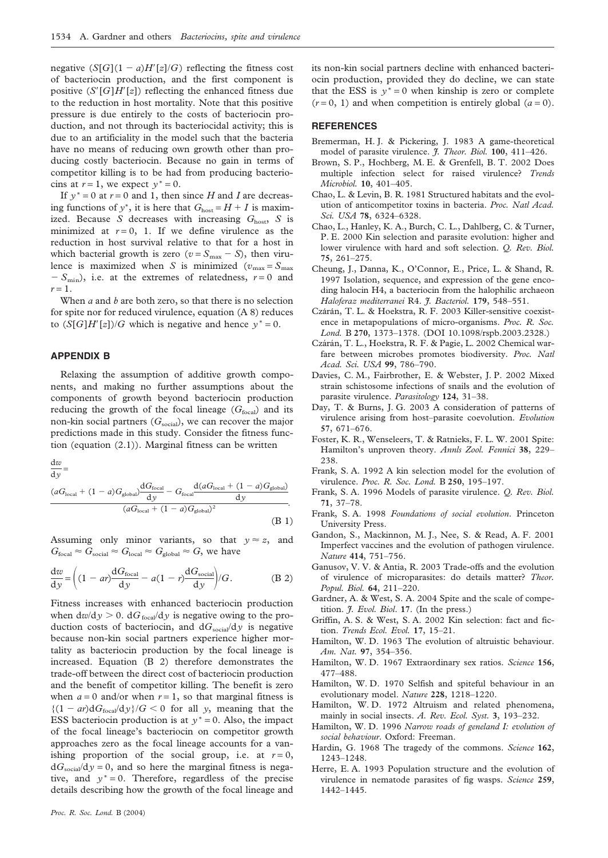negative  $(S[G](1 - a)H'[z]/G)$  reflecting the fitness cost of bacteriocin production, and the first component is positive  $(S'[G]H'[z])$  reflecting the enhanced fitness due to the reduction in host mortality. Note that this positive pressure is due entirely to the costs of bacteriocin production, and not through its bacteriocidal activity; this is due to an artificiality in the model such that the bacteria have no means of reducing own growth other than producing costly bacteriocin. Because no gain in terms of competitor killing is to be had from producing bacteriocins at  $r = 1$ , we expect  $y^* = 0$ .

If  $y^* = 0$  at  $r = 0$  and 1, then since *H* and *I* are decreas- $\log$  functions of *y*<sup>\*</sup>, it is here that  $G_{\text{host}} = H + I$  is maximized. Because *S* decreases with increasing  $G_{\text{host}}$ , *S* is minimized at  $r = 0$ , 1. If we define virulence as the reduction in host survival relative to that for a host in which bacterial growth is zero  $(v = S<sub>max</sub> - S)$ , then virulence is maximized when *S* is minimized ( $v_{\text{max}} = S_{\text{max}}$ )  $-S_{\text{min}}$ , i.e. at the extremes of relatedness,  $r=0$  and  $r=1$ .

When *a* and *b* are both zero, so that there is no selection for spite nor for reduced virulence, equation (A 8) reduces to  $(S[G]H'[z])/G$  which is negative and hence  $y^* = 0$ .

# **APPENDIX B**

Relaxing the assumption of additive growth components, and making no further assumptions about the components of growth beyond bacteriocin production reducing the growth of the focal lineage  $(G<sub>focal</sub>)$  and its non-kin social partners ( $G_{\text{social}}$ ), we can recover the major predictions made in this study. Consider the fitness function (equation (2.1)). Marginal fitness can be written

$$
\frac{\mathrm{d}w}{\mathrm{d}w} =
$$

$$
\frac{(aG_{\text{local}} + (1-a)G_{\text{global}})}{\left(aG_{\text{local}} + (1-a)G_{\text{global}}\right)}\frac{dG_{\text{focal}}}{dy} - G_{\text{focal}} \frac{d(aG_{\text{local}} + (1-a)G_{\text{global}})}{dy}}{(aG_{\text{local}} + (1-a)G_{\text{global}})^2}.
$$
\n(B1)

Assuming only minor variants, so that  $y \approx z$ , and  $G_{\text{focal}} \approx G_{\text{social}} \approx G_{\text{local}} \approx G_{\text{global}} \approx G$ , we have

$$
\frac{dw}{dy} = \left( (1 - ar) \frac{dG_{\text{focal}}}{dy} - a(1 - r) \frac{dG_{\text{social}}}{dy} \right) / G.
$$
 (B 2)

Fitness increases with enhanced bacteriocin production when  $dw/dy > 0$ .  $dG_{\text{focal}}/dy$  is negative owing to the production costs of bacteriocin, and  $dG_{\text{social}}/dy$  is negative because non-kin social partners experience higher mortality as bacteriocin production by the focal lineage is increased. Equation (B 2) therefore demonstrates the trade-off between the direct cost of bacteriocin production and the benefit of competitor killing. The benefit is zero when  $a = 0$  and/or when  $r = 1$ , so that marginal fitness is  ${(1 - ar)dG<sub>focal</sub>/dy}/G < 0$  for all *y*, meaning that the ESS bacteriocin production is at  $y^* = 0$ . Also, the impact of the focal lineage's bacteriocin on competitor growth approaches zero as the focal lineage accounts for a vanishing proportion of the social group, i.e. at  $r = 0$ ,  $dG_{\text{social}}/dy = 0$ , and so here the marginal fitness is negative, and  $y^* = 0$ . Therefore, regardless of the precise details describing how the growth of the focal lineage and its non-kin social partners decline with enhanced bacteriocin production, provided they do decline, we can state that the ESS is  $y^* = 0$  when kinship is zero or complete  $(r=0, 1)$  and when competition is entirely global  $(a=0)$ .

## **REFERENCES**

- Bremerman, H. J. & Pickering, J. 1983 A game-theoretical model of parasite virulence. *J. Theor. Biol.* **100**, 411–426.
- Brown, S. P., Hochberg, M. E. & Grenfell, B. T. 2002 Does multiple infection select for raised virulence? *Trends Microbiol.* **10**, 401–405.
- Chao, L. & Levin, B. R. 1981 Structured habitats and the evolution of anticompetitor toxins in bacteria. *Proc. Natl Acad. Sci. USA* **78**, 6324–6328.
- Chao, L., Hanley, K. A., Burch, C. L., Dahlberg, C. & Turner, P. E. 2000 Kin selection and parasite evolution: higher and lower virulence with hard and soft selection. *Q. Rev. Biol.* **75**, 261–275.
- Cheung, J., Danna, K., O'Connor, E., Price, L. & Shand, R. 1997 Isolation, sequence, and expression of the gene encoding halocin H4, a bacteriocin from the halophilic archaeon *Haloferaz mediterranei* R4. *J. Bacteriol.* **179**, 548–551.
- Czárán, T. L. & Hoekstra, R. F. 2003 Killer-sensitive coexistence in metapopulations of micro-organisms. *Proc. R. Soc. Lond.* B **270**, 1373–1378. (DOI 10.1098/rspb.2003.2328.)
- Czárán, T. L., Hoekstra, R. F. & Pagie, L. 2002 Chemical warfare between microbes promotes biodiversity. *Proc. Natl Acad. Sci. USA* **99**, 786–790.
- Davies, C. M., Fairbrother, E. & Webster, J. P. 2002 Mixed strain schistosome infections of snails and the evolution of parasite virulence. *Parasitology* **124**, 31–38.
- Day, T. & Burns, J. G. 2003 A consideration of patterns of virulence arising from host–parasite coevolution. *Evolution* **57**, 671–676.
- Foster, K. R., Wenseleers, T. & Ratnieks, F. L. W. 2001 Spite: Hamilton's unproven theory. *Annls Zool. Fennici* **38**, 229– 238.
- Frank, S. A. 1992 A kin selection model for the evolution of virulence. *Proc. R. Soc. Lond.* B **250**, 195–197.
- Frank, S. A. 1996 Models of parasite virulence. *Q. Rev. Biol.* **71**, 37–78.
- Frank, S. A. 1998 *Foundations of social evolution*. Princeton University Press.
- Gandon, S., Mackinnon, M. J., Nee, S. & Read, A. F. 2001 Imperfect vaccines and the evolution of pathogen virulence. *Nature* **414**, 751–756.
- Ganusov, V. V. & Antia, R. 2003 Trade-offs and the evolution of virulence of microparasites: do details matter? *Theor. Popul. Biol.* **64**, 211–220.
- Gardner, A. & West, S. A. 2004 Spite and the scale of competition. *J. Evol. Biol*. **17**. (In the press.)
- Griffin, A. S. & West, S. A. 2002 Kin selection: fact and fiction. *Trends Ecol. Evol.* **17**, 15–21.
- Hamilton, W. D. 1963 The evolution of altruistic behaviour. *Am. Nat.* **97**, 354–356.
- Hamilton, W. D. 1967 Extraordinary sex ratios. *Science* **156**, 477–488.
- Hamilton, W. D. 1970 Selfish and spiteful behaviour in an evolutionary model. *Nature* **228**, 1218–1220.
- Hamilton, W. D. 1972 Altruism and related phenomena, mainly in social insects. *A. Rev. Ecol. Syst.* **3**, 193–232.
- Hamilton, W. D. 1996 *Narrow roads of geneland I: evolution of social behaviour*. Oxford: Freeman.
- Hardin, G. 1968 The tragedy of the commons. *Science* **162**, 1243–1248.
- Herre, E. A. 1993 Population structure and the evolution of virulence in nematode parasites of fig wasps. *Science* **259**, 1442–1445.